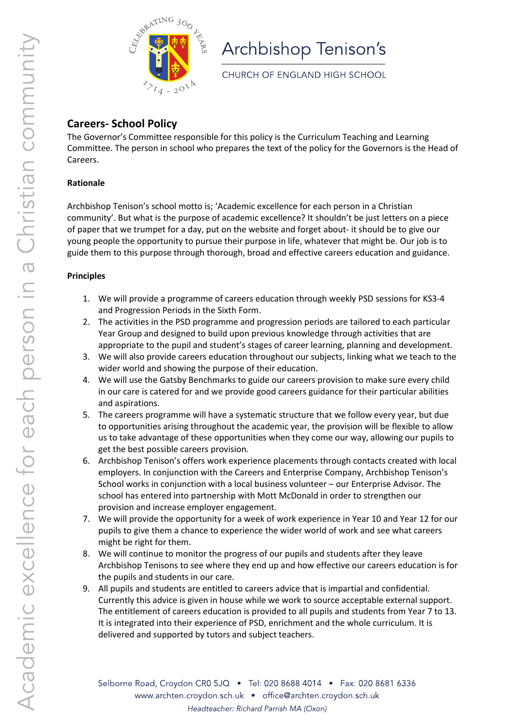

# Archbishop Tenison's

CHURCH OF ENGLAND HIGH SCHOOL

# **Careers- School Policy**

The Governor's Committee responsible for this policy is the Curriculum Teaching and Learning Committee. The person in school who prepares the text of the policy for the Governors is the Head of Careers.

### **Rationale**

Archbishop Tenison's school motto is; 'Academic excellence for each person in a Christian community'. But what is the purpose of academic excellence? It shouldn't be just letters on a piece of paper that we trumpet for a day, put on the website and forget about- it should be to give our young people the opportunity to pursue their purpose in life, whatever that might be. Our job is to guide them to this purpose through thorough, broad and effective careers education and guidance.

## **Principles**

- 1. We will provide a programme of careers education through weekly PSD sessions for KS3-4 and Progression Periods in the Sixth Form.
- 2. The activities in the PSD programme and progression periods are tailored to each particular Year Group and designed to build upon previous knowledge through activities that are appropriate to the pupil and student's stages of career learning, planning and development.
- 3. We will also provide careers education throughout our subjects, linking what we teach to the wider world and showing the purpose of their education.
- 4. We will use the Gatsby Benchmarks to guide our careers provision to make sure every child in our care is catered for and we provide good careers guidance for their particular abilities and aspirations.
- 5. The careers programme will have a systematic structure that we follow every year, but due to opportunities arising throughout the academic year, the provision will be flexible to allow us to take advantage of these opportunities when they come our way, allowing our pupils to get the best possible careers provision.
- 6. Archbishop Tenison's offers work experience placements through contacts created with local employers. In conjunction with the Careers and Enterprise Company, Archbishop Tenison's School works in conjunction with a local business volunteer – our Enterprise Advisor. The school has entered into partnership with Mott McDonald in order to strengthen our provision and increase employer engagement.
- 7. We will provide the opportunity for a week of work experience in Year 10 and Year 12 for our pupils to give them a chance to experience the wider world of work and see what careers might be right for them.
- 8. We will continue to monitor the progress of our pupils and students after they leave Archbishop Tenisons to see where they end up and how effective our careers education is for the pupils and students in our care.
- 9. All pupils and students are entitled to careers advice that is impartial and confidential. Currently this advice is given in house while we work to source acceptable external support. The entitlement of careers education is provided to all pupils and students from Year 7 to 13. It is integrated into their experience of PSD, enrichment and the whole curriculum. It is delivered and supported by tutors and subject teachers.

Selborne Road, Croydon CR0 5JQ · Tel: 020 8688 4014 · Fax: 020 8681 6336 www.archten.croydon.sch.uk · office@archten.croydon.sch.uk Headteacher: Richard Parrish MA (Oxon)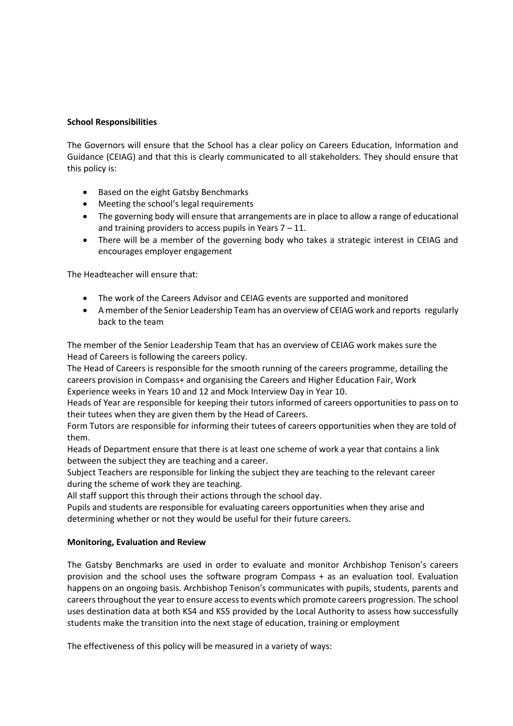#### **School Responsibilities**

The Governors will ensure that the School has a clear policy on Careers Education, Information and Guidance (CEIAG) and that this is clearly communicated to all stakeholders. They should ensure that this policy is:

- Based on the eight Gatsby Benchmarks
- Meeting the school's legal requirements
- The governing body will ensure that arrangements are in place to allow a range of educational and training providers to access pupils in Years 7 – 11.
- There will be a member of the governing body who takes a strategic interest in CEIAG and encourages employer engagement

The Headteacher will ensure that:

- The work of the Careers Advisor and CEIAG events are supported and monitored
- A member of the Senior Leadership Team has an overview of CEIAG work and reports regularly back to the team

The member of the Senior Leadership Team that has an overview of CEIAG work makes sure the Head of Careers is following the careers policy.

The Head of Careers is responsible for the smooth running of the careers programme, detailing the careers provision in Compass+ and organising the Careers and Higher Education Fair, Work Experience weeks in Years 10 and 12 and Mock Interview Day in Year 10.

Heads of Year are responsible for keeping their tutors informed of careers opportunities to pass on to their tutees when they are given them by the Head of Careers.

Form Tutors are responsible for informing their tutees of careers opportunities when they are told of them.

Heads of Department ensure that there is at least one scheme of work a year that contains a link between the subject they are teaching and a career.

Subject Teachers are responsible for linking the subject they are teaching to the relevant career during the scheme of work they are teaching.

All staff support this through their actions through the school day.

Pupils and students are responsible for evaluating careers opportunities when they arise and determining whether or not they would be useful for their future careers.

#### **Monitoring, Evaluation and Review**

The Gatsby Benchmarks are used in order to evaluate and monitor Archbishop Tenison's careers provision and the school uses the software program Compass + as an evaluation tool. Evaluation happens on an ongoing basis. Archbishop Tenison's communicates with pupils, students, parents and careers throughout the year to ensure access to events which promote careers progression. The school uses destination data at both KS4 and KS5 provided by the Local Authority to assess how successfully students make the transition into the next stage of education, training or employment

The effectiveness of this policy will be measured in a variety of ways: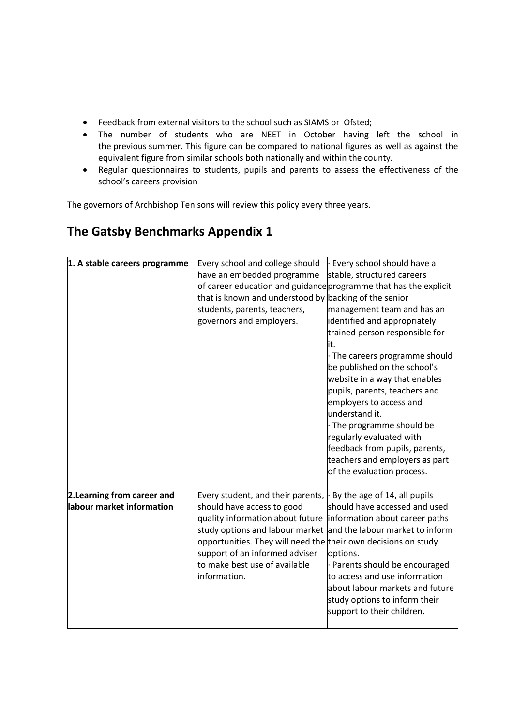- Feedback from external visitors to the school such as SIAMS or Ofsted;
- The number of students who are NEET in October having left the school in the previous summer. This figure can be compared to national figures as well as against the equivalent figure from similar schools both nationally and within the county.
- Regular questionnaires to students, pupils and parents to assess the effectiveness of the school's careers provision

The governors of Archbishop Tenisons will review this policy every three years.

# **The Gatsby Benchmarks Appendix 1**

| 1. A stable careers programme | Every school and college should                                  | Every school should have a      |  |
|-------------------------------|------------------------------------------------------------------|---------------------------------|--|
|                               | have an embedded programme                                       | stable, structured careers      |  |
|                               | of career education and guidance programme that has the explicit |                                 |  |
|                               | that is known and understood by backing of the senior            |                                 |  |
|                               | students, parents, teachers,                                     | management team and has an      |  |
|                               | governors and employers.                                         | identified and appropriately    |  |
|                               |                                                                  | trained person responsible for  |  |
|                               |                                                                  | it.                             |  |
|                               |                                                                  | · The careers programme should  |  |
|                               |                                                                  | be published on the school's    |  |
|                               |                                                                  | website in a way that enables   |  |
|                               |                                                                  | pupils, parents, teachers and   |  |
|                               |                                                                  | employers to access and         |  |
|                               |                                                                  | understand it.                  |  |
|                               |                                                                  | · The programme should be       |  |
|                               |                                                                  | regularly evaluated with        |  |
|                               |                                                                  | feedback from pupils, parents,  |  |
|                               |                                                                  | teachers and employers as part  |  |
|                               |                                                                  | of the evaluation process.      |  |
| 2. Learning from career and   | Every student, and their parents,                                | By the age of 14, all pupils    |  |
| labour market information     | should have access to good                                       | should have accessed and used   |  |
|                               | quality information about future                                 | information about career paths  |  |
|                               | study options and labour market                                  | and the labour market to inform |  |
|                               | opportunities. They will need the their own decisions on study   |                                 |  |
|                               | support of an informed adviser                                   | options.                        |  |
|                               | to make best use of available                                    | · Parents should be encouraged  |  |
|                               | information.                                                     | to access and use information   |  |
|                               |                                                                  | about labour markets and future |  |
|                               |                                                                  | study options to inform their   |  |
|                               |                                                                  | support to their children.      |  |
|                               |                                                                  |                                 |  |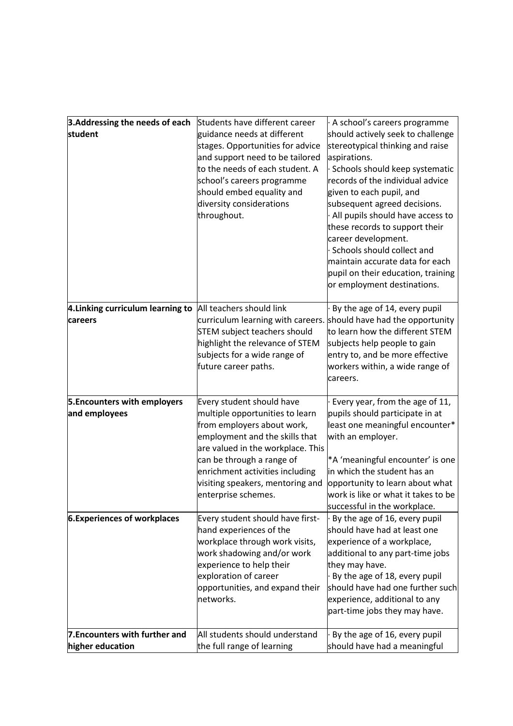| 3. Addressing the needs of each   | Students have different career    | A school's careers programme        |
|-----------------------------------|-----------------------------------|-------------------------------------|
| student                           | guidance needs at different       | should actively seek to challenge   |
|                                   | stages. Opportunities for advice  | stereotypical thinking and raise    |
|                                   | and support need to be tailored   | aspirations.                        |
|                                   | to the needs of each student. A   | Schools should keep systematic      |
|                                   | school's careers programme        | records of the individual advice    |
|                                   | should embed equality and         | given to each pupil, and            |
|                                   | diversity considerations          | subsequent agreed decisions.        |
|                                   | throughout.                       | All pupils should have access to    |
|                                   |                                   | these records to support their      |
|                                   |                                   | career development.                 |
|                                   |                                   | Schools should collect and          |
|                                   |                                   | maintain accurate data for each     |
|                                   |                                   | pupil on their education, training  |
|                                   |                                   | or employment destinations.         |
| 4. Linking curriculum learning to | All teachers should link          | By the age of 14, every pupil       |
| careers                           | curriculum learning with careers. | should have had the opportunity     |
|                                   | STEM subject teachers should      | to learn how the different STEM     |
|                                   | highlight the relevance of STEM   | subjects help people to gain        |
|                                   | subjects for a wide range of      | entry to, and be more effective     |
|                                   | future career paths.              | workers within, a wide range of     |
|                                   |                                   | careers.                            |
| 5. Encounters with employers      | Every student should have         | Every year, from the age of 11,     |
| and employees                     | multiple opportunities to learn   | pupils should participate in at     |
|                                   | from employers about work,        | least one meaningful encounter*     |
|                                   | employment and the skills that    | with an employer.                   |
|                                   | are valued in the workplace. This |                                     |
|                                   | can be through a range of         | *A 'meaningful encounter' is one    |
|                                   | enrichment activities including   | in which the student has an         |
|                                   | visiting speakers, mentoring and  | opportunity to learn about what     |
|                                   | enterprise schemes.               | work is like or what it takes to be |
|                                   |                                   | successful in the workplace.        |
| 6. Experiences of workplaces      | Every student should have first-  | By the age of 16, every pupil       |
|                                   | hand experiences of the           | should have had at least one        |
|                                   | workplace through work visits,    | experience of a workplace,          |
|                                   | work shadowing and/or work        | additional to any part-time jobs    |
|                                   | experience to help their          | they may have.                      |
|                                   | exploration of career             | By the age of 18, every pupil       |
|                                   | opportunities, and expand their   | should have had one further such    |
|                                   | networks.                         | experience, additional to any       |
|                                   |                                   | part-time jobs they may have.       |
| 7. Encounters with further and    | All students should understand    | By the age of 16, every pupil       |
| higher education                  | the full range of learning        | should have had a meaningful        |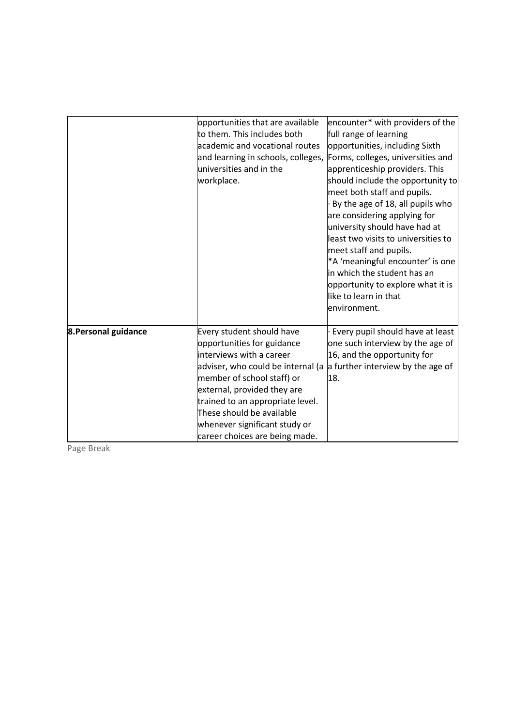|                      | opportunities that are available<br>to them. This includes both<br>academic and vocational routes<br>and learning in schools, colleges,<br>universities and in the<br>workplace.                                                                                                                                          | encounter* with providers of the<br>full range of learning<br>opportunities, including Sixth<br>Forms, colleges, universities and<br>apprenticeship providers. This<br>should include the opportunity to<br>meet both staff and pupils.<br>By the age of 18, all pupils who<br>are considering applying for<br>university should have had at<br>least two visits to universities to<br>meet staff and pupils.<br>*A 'meaningful encounter' is one<br>in which the student has an<br>opportunity to explore what it is<br>like to learn in that<br>environment. |
|----------------------|---------------------------------------------------------------------------------------------------------------------------------------------------------------------------------------------------------------------------------------------------------------------------------------------------------------------------|----------------------------------------------------------------------------------------------------------------------------------------------------------------------------------------------------------------------------------------------------------------------------------------------------------------------------------------------------------------------------------------------------------------------------------------------------------------------------------------------------------------------------------------------------------------|
| 8. Personal guidance | Every student should have<br>opportunities for guidance<br>interviews with a career<br>adviser, who could be internal (a<br>member of school staff) or<br>external, provided they are<br>trained to an appropriate level.<br>These should be available<br>whenever significant study or<br>career choices are being made. | Every pupil should have at least<br>one such interview by the age of<br>16, and the opportunity for<br>a further interview by the age of<br>18.                                                                                                                                                                                                                                                                                                                                                                                                                |

Page Break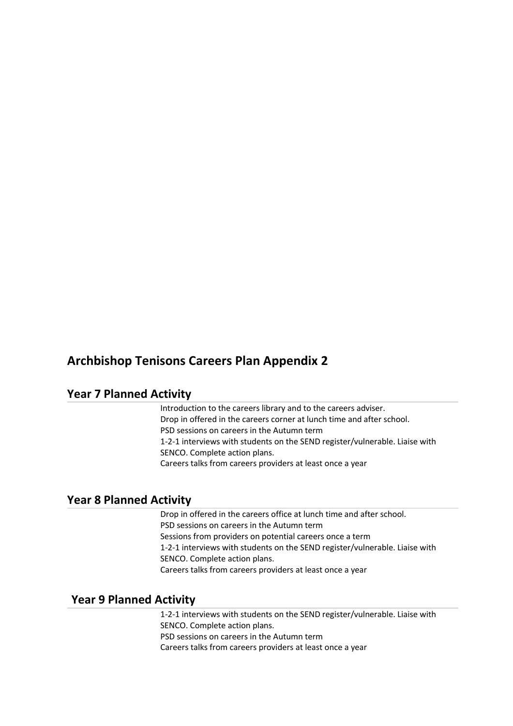# **Archbishop Tenisons Careers Plan Appendix 2**

# **Year 7 Planned Activity**

Introduction to the careers library and to the careers adviser.  Drop in offered in the careers corner at lunch time and after school. PSD sessions on careers in the Autumn term  1-2-1 interviews with students on the SEND register/vulnerable. Liaise with SENCO. Complete action plans. Careers talks from careers providers at least once a year

### **Year 8 Planned Activity**

Drop in offered in the careers office at lunch time and after school. PSD sessions on careers in the Autumn term  Sessions from providers on potential careers once a term 1-2-1 interviews with students on the SEND register/vulnerable. Liaise with SENCO. Complete action plans. Careers talks from careers providers at least once a year

# **Year 9 Planned Activity**

1-2-1 interviews with students on the SEND register/vulnerable. Liaise with SENCO. Complete action plans. PSD sessions on careers in the Autumn term 

Careers talks from careers providers at least once a year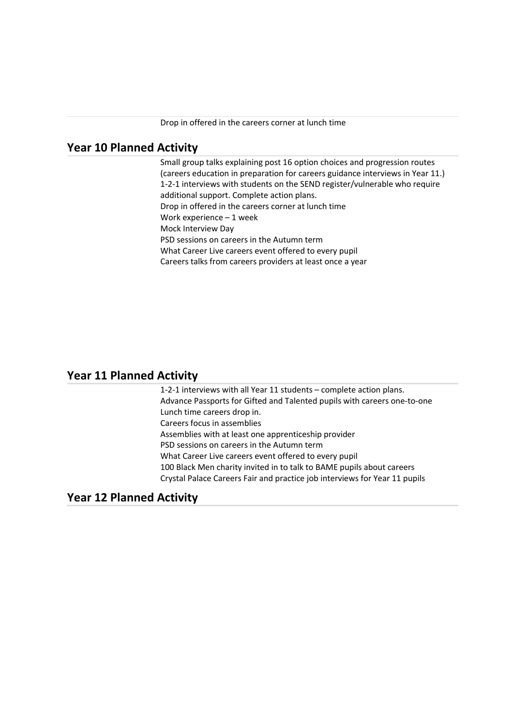## **Year 10 Planned Activity**

Small group talks explaining post 16 option choices and progression routes (careers education in preparation for careers guidance interviews in Year 11.)  1-2-1 interviews with students on the SEND register/vulnerable who require additional support. Complete action plans.  Drop in offered in the careers corner at lunch time Work experience – 1 week Mock Interview Day PSD sessions on careers in the Autumn term  What Career Live careers event offered to every pupil Careers talks from careers providers at least once a year

### **Year 11 Planned Activity**

1-2-1 interviews with all Year 11 students – complete action plans.  Advance Passports for Gifted and Talented pupils with careers one-to-one  Lunch time careers drop in.  Careers focus in assemblies  Assemblies with at least one apprenticeship provider PSD sessions on careers in the Autumn term  What Career Live careers event offered to every pupil  100 Black Men charity invited in to talk to BAME pupils about careers  Crystal Palace Careers Fair and practice job interviews for Year 11 pupils

### **Year 12 Planned Activity**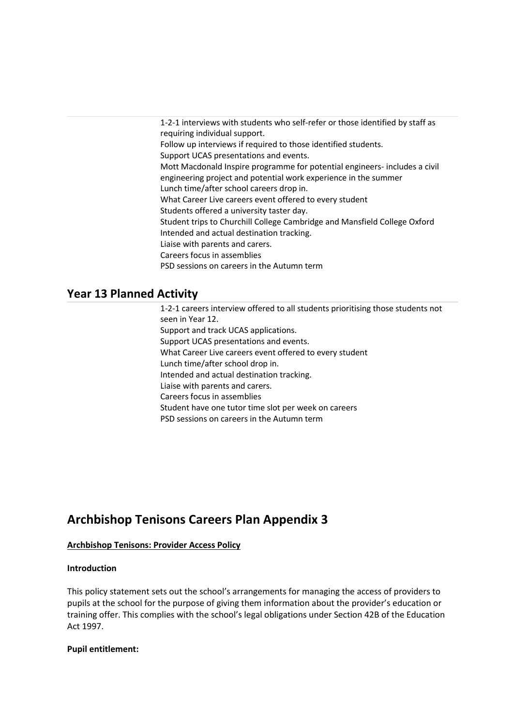1-2-1 interviews with students who self-refer or those identified by staff as requiring individual support.  Follow up interviews if required to those identified students.   Support UCAS presentations and events.  Mott Macdonald Inspire programme for potential engineers- includes a civil engineering project and potential work experience in the summer  Lunch time/after school careers drop in.  What Career Live careers event offered to every student  Students offered a university taster day.  Student trips to Churchill College Cambridge and Mansfield College Oxford Intended and actual destination tracking.  Liaise with parents and carers.  Careers focus in assemblies  PSD sessions on careers in the Autumn term 

# **Year 13 Planned Activity**

1-2-1 careers interview offered to all students prioritising those students not seen in Year 12.   Support and track UCAS applications.  Support UCAS presentations and events.  What Career Live careers event offered to every student  Lunch time/after school drop in.  Intended and actual destination tracking.  Liaise with parents and carers.  Careers focus in assemblies  Student have one tutor time slot per week on careers  PSD sessions on careers in the Autumn term 

# **Archbishop Tenisons Careers Plan Appendix 3**

#### **Archbishop Tenisons: Provider Access Policy**

#### **Introduction**

This policy statement sets out the school's arrangements for managing the access of providers to pupils at the school for the purpose of giving them information about the provider's education or training offer. This complies with the school's legal obligations under Section 42B of the Education Act 1997.

#### **Pupil entitlement:**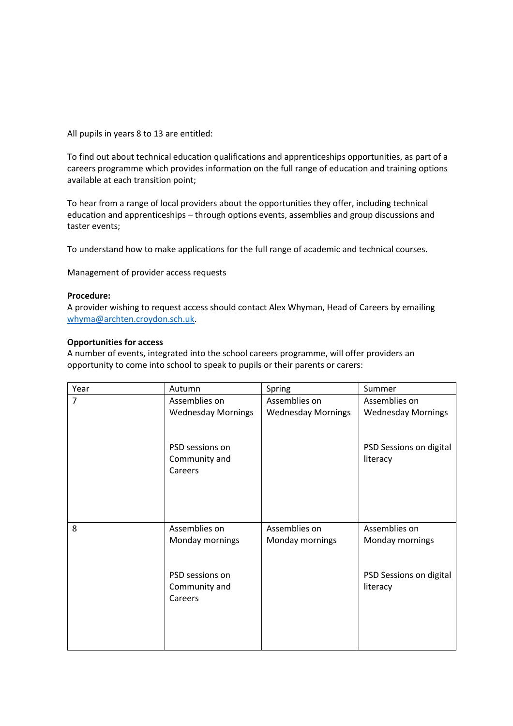All pupils in years 8 to 13 are entitled:

To find out about technical education qualifications and apprenticeships opportunities, as part of a careers programme which provides information on the full range of education and training options available at each transition point;

To hear from a range of local providers about the opportunities they offer, including technical education and apprenticeships – through options events, assemblies and group discussions and taster events;

To understand how to make applications for the full range of academic and technical courses.

Management of provider access requests

#### **Procedure:**

A provider wishing to request access should contact Alex Whyman, Head of Careers by emailing [whyma@archten.croydon.sch.uk.](mailto:whyma@archten.croydon.sch.uk)

#### **Opportunities for access**

A number of events, integrated into the school careers programme, will offer providers an opportunity to come into school to speak to pupils or their parents or carers:

| Year           | Autumn                           | Spring                    | Summer                              |
|----------------|----------------------------------|---------------------------|-------------------------------------|
| $\overline{7}$ | Assemblies on                    | Assemblies on             | Assemblies on                       |
|                | <b>Wednesday Mornings</b>        | <b>Wednesday Mornings</b> | <b>Wednesday Mornings</b>           |
|                |                                  |                           |                                     |
|                | PSD sessions on<br>Community and |                           | PSD Sessions on digital<br>literacy |
|                | Careers                          |                           |                                     |
|                |                                  |                           |                                     |
|                |                                  |                           |                                     |
|                |                                  |                           |                                     |
| 8              | Assemblies on                    | Assemblies on             | Assemblies on                       |
|                | Monday mornings                  | Monday mornings           | Monday mornings                     |
|                |                                  |                           |                                     |
|                | PSD sessions on                  |                           | PSD Sessions on digital             |
|                | Community and                    |                           | literacy                            |
|                | Careers                          |                           |                                     |
|                |                                  |                           |                                     |
|                |                                  |                           |                                     |
|                |                                  |                           |                                     |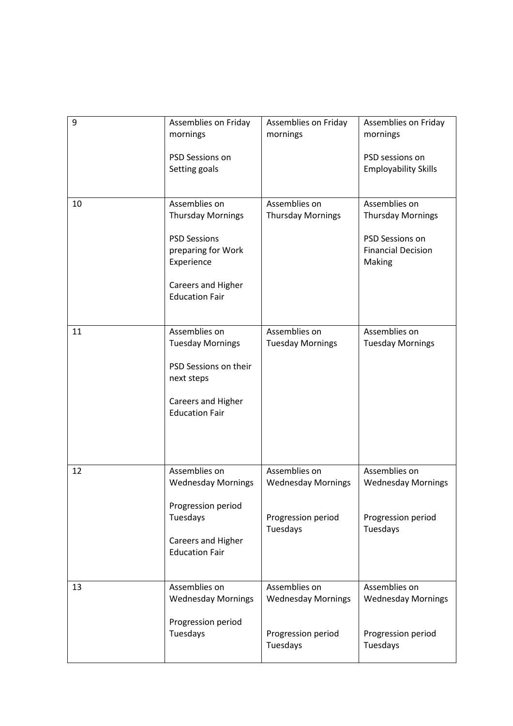| 9  | Assemblies on Friday<br>mornings                                                                                                                    | Assemblies on Friday<br>mornings                                             | Assemblies on Friday<br>mornings                                                                    |
|----|-----------------------------------------------------------------------------------------------------------------------------------------------------|------------------------------------------------------------------------------|-----------------------------------------------------------------------------------------------------|
|    | PSD Sessions on<br>Setting goals                                                                                                                    |                                                                              | PSD sessions on<br><b>Employability Skills</b>                                                      |
| 10 | Assemblies on<br><b>Thursday Mornings</b><br><b>PSD Sessions</b><br>preparing for Work<br>Experience<br>Careers and Higher<br><b>Education Fair</b> | Assemblies on<br><b>Thursday Mornings</b>                                    | Assemblies on<br><b>Thursday Mornings</b><br>PSD Sessions on<br><b>Financial Decision</b><br>Making |
| 11 | Assemblies on<br><b>Tuesday Mornings</b><br>PSD Sessions on their<br>next steps<br>Careers and Higher<br><b>Education Fair</b>                      | Assemblies on<br><b>Tuesday Mornings</b>                                     | Assemblies on<br><b>Tuesday Mornings</b>                                                            |
| 12 | Assemblies on<br><b>Wednesday Mornings</b><br>Progression period<br>Tuesdays<br>Careers and Higher<br><b>Education Fair</b>                         | Assemblies on<br><b>Wednesday Mornings</b><br>Progression period<br>Tuesdays | Assemblies on<br><b>Wednesday Mornings</b><br>Progression period<br>Tuesdays                        |
| 13 | Assemblies on<br><b>Wednesday Mornings</b><br>Progression period<br>Tuesdays                                                                        | Assemblies on<br><b>Wednesday Mornings</b><br>Progression period<br>Tuesdays | Assemblies on<br><b>Wednesday Mornings</b><br>Progression period<br>Tuesdays                        |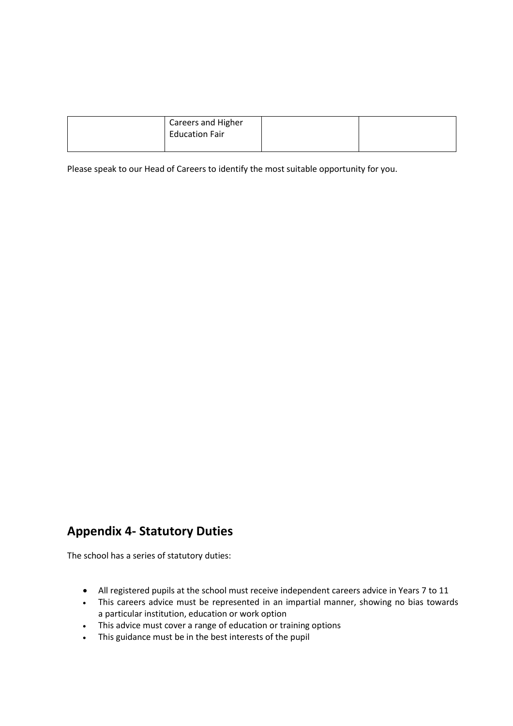| <b>Careers and Higher</b><br><b>Education Fair</b> |  |
|----------------------------------------------------|--|
|                                                    |  |

Please speak to our Head of Careers to identify the most suitable opportunity for you.

# **Appendix 4- Statutory Duties**

The school has a series of statutory duties:

- All registered pupils at the school must receive independent careers advice in Years 7 to 11
- This careers advice must be represented in an impartial manner, showing no bias towards a particular institution, education or work option
- This advice must cover a range of education or training options
- This guidance must be in the best interests of the pupil